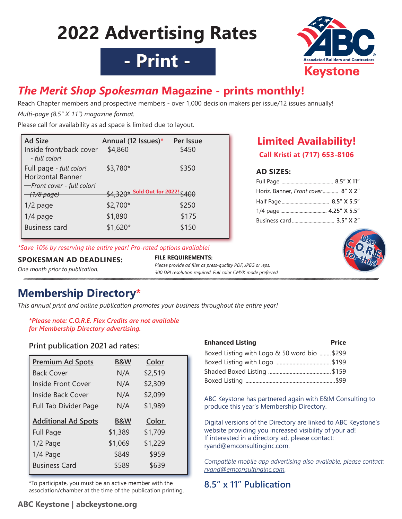# **2022 Advertising Rates**





## *The Merit Shop Spokesman* **Magazine - prints monthly!**

Reach Chapter members and prospective members - over 1,000 decision makers per issue/12 issues annually!

*Multi-page (8.5" X 11") magazine format.*

Please call for availability as ad space is limited due to layout.

| <b>Ad Size</b>                                      | Annual (12 Issues)*               | Per Issue |
|-----------------------------------------------------|-----------------------------------|-----------|
| Inside front/back cover<br>- full color!            | \$4,860                           | \$450     |
| Full page - full color!<br><b>Horizontal Banner</b> | \$3,780*                          | \$350     |
| <del>- Front cover - full color!</del>              |                                   |           |
| <del>- (1/8 page)</del>                             | \$4.320* Sold Out for 2022! \$400 |           |
| $1/2$ page                                          | \$2,700*                          | \$250     |
| $1/4$ page                                          | \$1,890                           | \$175     |
| <b>Business card</b>                                | $$1,620*$                         | \$150     |

*\*Save 10% by reserving the entire year! Pro-rated options available!*

## **SPOKESMAN AD DEADLINES:**

*One month prior to publication.*

#### **FILE REQUIREMENTS:**  *Please provide ad files as press-quality PDF, JPEG or .eps.*

*300 DPI resolution required. Full color CMYK mode preferred.* 

## **Membership Directory\***

*This annual print and online publication promotes your business throughout the entire year!* 

### *\*Please note: C.O.R.E. Flex Credits are not available for Membership Directory advertising.*

## **Print publication 2021 ad rates:**

| <b>B&amp;W</b> | Color   |  |
|----------------|---------|--|
| N/A            | \$2,519 |  |
| N/A            | \$2,309 |  |
| N/A            | \$2,099 |  |
| N/A            | \$1,989 |  |
| <b>B&amp;W</b> | Color   |  |
| \$1,389        | \$1,709 |  |
| \$1,069        | \$1,229 |  |
| \$849          | \$959   |  |
| \$589          | \$639   |  |
|                |         |  |

\*To participate, you must be an active member with the association/chamber at the time of the publication printing.

| <b>Enhanced Listing</b>                      | <b>Price</b> |
|----------------------------------------------|--------------|
| Boxed Listing with Logo & 50 word bio  \$299 |              |
|                                              |              |
|                                              |              |
|                                              |              |

**AD SIZES:** 

Full Page *........................................* **8.5" X 11"** Horiz. Banner, *Front cover............* **8" X 2"** Half Page ..................................... **8.5" X 5.5"** 1/4 page .................................... **4.25" X 5.5"** Business card................................. **3.5" X 2"**

**Limited Availability! Call Kristi at (717) 653-8106**

ABC Keystone has partnered again with E&M Consulting to produce this year's Membership Directory.

Digital versions of the Directory are linked to ABC Keystone's website providing you increased visibility of your ad! If interested in a directory ad, please contact: ryand@emconsultinginc.com.

*Compatible mobile app advertising also available, please contact: ryand@emconsultinginc.com.*

## **8.5" x 11" Publication**

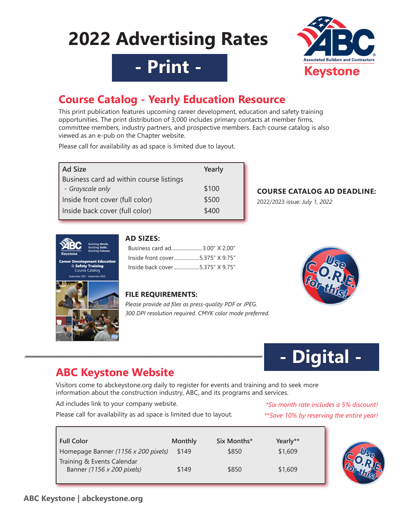# **2022 Advertising Rates**



# **- Print -**

## **Course Catalog - Yearly Education Resource**

This print publication features upcoming career development, education and safety training opportunities. The print distribution of 3,000 includes primary contacts at member firms, committee members, industry partners, and prospective members. Each course catalog is also viewed as an e-pub on the Chapter website.

Please call for availability as ad space is limited due to layout.

| <b>Ad Size</b>                          | Yearly |
|-----------------------------------------|--------|
| Business card ad within course listings |        |
| - Grayscale only                        | \$100  |
| Inside front cover (full color)         | \$500  |
| Inside back cover (full color)          | \$400  |

## **COURSE CATALOG AD DEADLINE:**

2022/2023 issue: *July 1, 2022*





## **AD SIZES:**

| Business card ad3.00" X 2.00"    |  |
|----------------------------------|--|
| Inside front cover5.375" X 9.75" |  |
|                                  |  |

## **FILE REQUIREMENTS:**

*Please provide ad files as press-quality PDF or JPEG. 300 DPI resolution required. CMYK color mode preferred.* 





## **ABC Keystone Website**

Visitors come to abckeystone.org daily to register for events and training and to seek more information about the construction industry, ABC, and its programs and services.

Ad includes link to your company website.

Please call for availability as ad space is limited due to layout.

## *\*Six month rate includes a 5% discount! \*\*Save 10% by reserving the entire year!*

| <b>Full Color</b>                                        | <b>Monthly</b> | Six Months* | Yearly** |
|----------------------------------------------------------|----------------|-------------|----------|
| Homepage Banner (1156 x 200 pixels)                      | \$149          | \$850       | \$1,609  |
| Training & Events Calendar<br>Banner (1156 x 200 pixels) | \$149          | \$850       | \$1,609  |

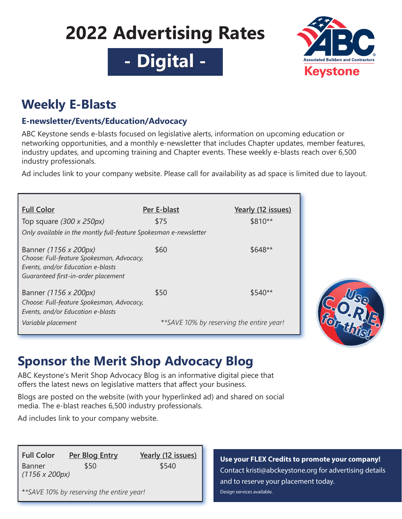# **2022 Advertising Rates**

**- Digital -**



## **Weekly E-Blasts**

## **E-newsletter/Events/Education/Advocacy**

ABC Keystone sends e-blasts focused on legislative alerts, information on upcoming education or networking opportunities, and a monthly e-newsletter that includes Chapter updates, member features, industry updates, and upcoming training and Chapter events. These weekly e-blasts reach over 6,500 industry professionals.

Ad includes link to your company website. Please call for availability as ad space is limited due to layout.

| <b>Full Color</b>                                                                                                                              | Per E-blast                               | Yearly (12 issues) |
|------------------------------------------------------------------------------------------------------------------------------------------------|-------------------------------------------|--------------------|
| Top square $(300 \times 250px)$                                                                                                                | \$75                                      | \$810**            |
| Only available in the montly full-feature Spokesman e-newsletter                                                                               |                                           |                    |
| Banner (1156 x 200px)<br>Choose: Full-feature Spokesman, Advocacy,<br>Events, and/or Education e-blasts<br>Guaranteed first-in-order placement | \$60                                      | $$648**$           |
| Banner (1156 x 200px)<br>Choose: Full-feature Spokesman, Advocacy,<br>Events, and/or Education e-blasts                                        | \$50                                      | $$540**$           |
| Variable placement                                                                                                                             | ** SAVE 10% by reserving the entire year! |                    |



# **Sponsor the Merit Shop Advocacy Blog**

ABC Keystone's Merit Shop Advocacy Blog is an informative digital piece that offers the latest news on legislative matters that affect your business.

Blogs are posted on the website (with your hyperlinked ad) and shared on social media. The e-blast reaches 6,500 industry professionals.

Ad includes link to your company website.

**Full Color Per Blog Entry Yearly (12 issues)** Banner \$50 \$540 *(1156 x 200px)*

\**\*SAVE 10% by reserving the entire year!*

**Use your FLEX Credits to promote your company!** Contact kristi@abckeystone.org for advertising details and to reserve your placement today. Design services available.